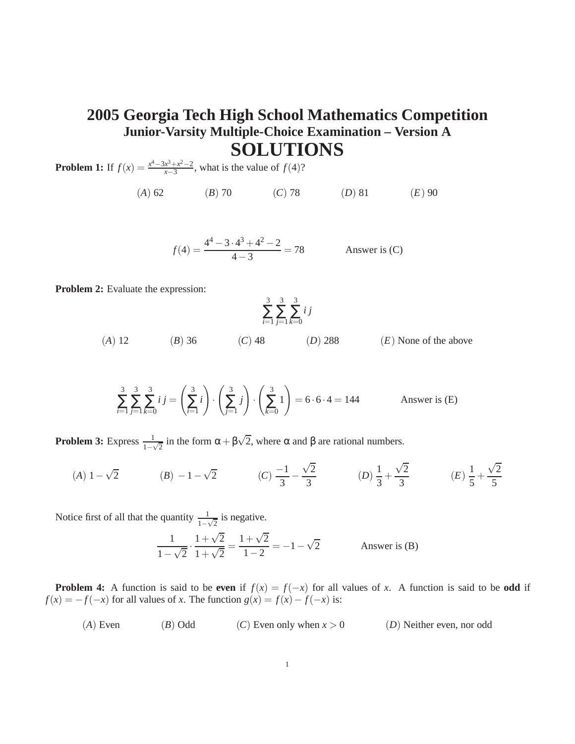## **2005 Georgia Tech High School Mathematics Competition Junior-Varsity Multiple-Choice Examination – Version A SOLUTIONS**

**Problem 1:** If  $f(x) = \frac{x^4 - 3x^3 + x^2 - 2}{x - 3}$  $\frac{x^3 + x^2 - 2}{x - 3}$ , what is the value of *f*(4)?

(*A*) 62 (*B*) 70 (*C*) 78 (*D*) 81 (*E*) 90

$$
f(4) = \frac{4^4 - 3 \cdot 4^3 + 4^2 - 2}{4 - 3} = 78
$$
 Answer is (C)

**Problem 2:** Evaluate the expression:

$$
\sum_{i=1}^{3} \sum_{j=1}^{3} \sum_{k=0}^{3} i j
$$

(*A*) 12 (*B*) 36 (*C*) 48 (*D*) 288 (*E*) None of the above

$$
\sum_{i=1}^{3} \sum_{j=1}^{3} \sum_{k=0}^{3} i j = \left(\sum_{i=1}^{3} i\right) \cdot \left(\sum_{j=1}^{3} j\right) \cdot \left(\sum_{k=0}^{3} 1\right) = 6 \cdot 6 \cdot 4 = 144
$$
 Answer is (E)

**Problem 3:** Express  $\frac{1}{1-\sqrt{2}}$  in the form  $\alpha + \beta\sqrt{2}$ , where  $\alpha$  and  $\beta$  are rational numbers.

(A) 
$$
1 - \sqrt{2}
$$
 \t\t (B)  $-1 - \sqrt{2}$  \t\t (C)  $\frac{-1}{3} - \frac{\sqrt{2}}{3}$  \t\t (D)  $\frac{1}{3} + \frac{\sqrt{2}}{3}$  \t\t (E)  $\frac{1}{5} + \frac{\sqrt{2}}{5}$ 

Notice first of all that the quantity  $\frac{1}{1-\sqrt{2}}$  is negative.

$$
\frac{1}{1-\sqrt{2}} \cdot \frac{1+\sqrt{2}}{1+\sqrt{2}} = \frac{1+\sqrt{2}}{1-2} = -1 - \sqrt{2}
$$
 Answer is (B)

**Problem 4:** A function is said to be **even** if  $f(x) = f(-x)$  for all values of *x*. A function is said to be **odd** if  $f(x) = -f(-x)$  for all values of *x*. The function  $g(x) = f(x) - f(-x)$  is:

(*A*) Even (*B*) Odd (*C*) Even only when  $x > 0$  (*D*) Neither even, nor odd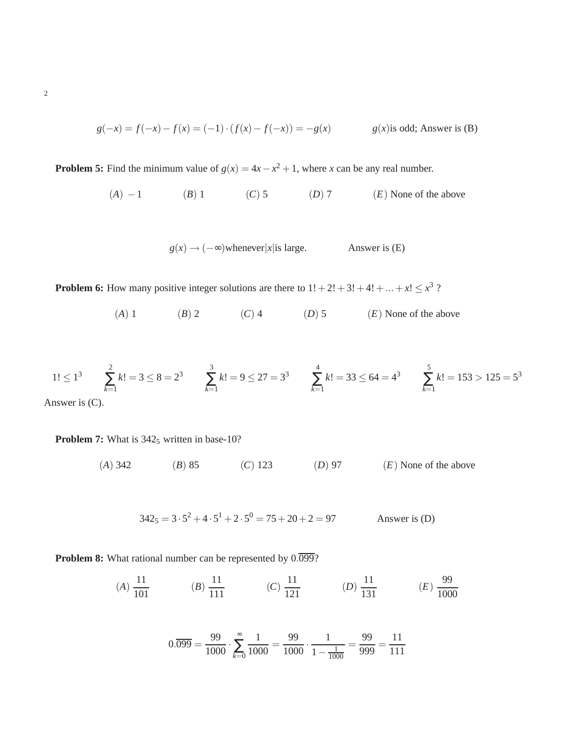$$
g(-x) = f(-x) - f(x) = (-1) \cdot (f(x) - f(-x)) = -g(x) \qquad g(x)
$$
is odd; Answer is (B)

**Problem 5:** Find the minimum value of  $g(x) = 4x - x^2 + 1$ , where *x* can be any real number.

(*A*) −1 (*B*) 1 (*C*) 5 (*D*) 7 (*E*) None of the above

$$
g(x) \rightarrow (-\infty)
$$
whenever|x|is large. Answer is (E)

**Problem 6:** How many positive integer solutions are there to  $1! + 2! + 3! + 4! + ... + x! \leq x^3$ ?

(*A*) 1 (*B*) 2 (*C*) 4 (*D*) 5 (*E*) None of the above

$$
1! \le 1^3 \qquad \sum_{k=1}^2 k! = 3 \le 8 = 2^3 \qquad \sum_{k=1}^3 k! = 9 \le 27 = 3^3 \qquad \sum_{k=1}^4 k! = 33 \le 64 = 4^3 \qquad \sum_{k=1}^5 k! = 153 > 125 = 5^3
$$

Answer is (C).

**Problem 7:** What is 342<sub>5</sub> written in base-10?

(*A*) 342 (*B*) 85 (*C*) 123 (*D*) 97 (*E*) None of the above

 $342_5 = 3 \cdot 5^2 + 4 \cdot 5^1 + 2 \cdot 5^0 = 75 + 20 + 2 = 97$  Answer is (D)

**Problem 8:** What rational number can be represented by  $0.\overline{0.099}$ ?

$$
(A) \frac{11}{101} \qquad \qquad (B) \frac{11}{111} \qquad \qquad (C) \frac{11}{121} \qquad \qquad (D) \frac{11}{131} \qquad \qquad (E) \frac{99}{1000}
$$

$$
0.\overline{099} = \frac{99}{1000} \cdot \sum_{k=0}^{\infty} \frac{1}{1000} = \frac{99}{1000} \cdot \frac{1}{1 - \frac{1}{1000}} = \frac{99}{999} = \frac{11}{111}
$$

2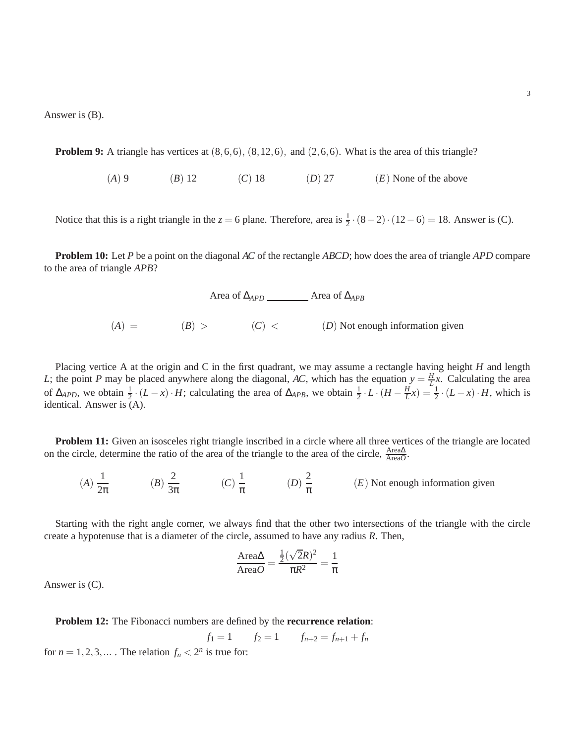Answer is (B).

**Problem 9:** A triangle has vertices at  $(8,6,6)$ ,  $(8,12,6)$ , and  $(2,6,6)$ . What is the area of this triangle?

(*A*) 9 (*B*) 12 (*C*) 18 (*D*) 27 (*E*) None of the above

Notice that this is a right triangle in the  $z = 6$  plane. Therefore, area is  $\frac{1}{2} \cdot (8-2) \cdot (12-6) = 18$ . Answer is (C).

**Problem 10:** Let *P* be a point on the diagonal *AC* of the rectangle *ABCD*; how does the area of triangle *APD* compare to the area of triangle *APB*?

Area of ∆*<sub>APD</sub>* \_\_\_\_\_\_\_\_\_ Area of ∆*<sub>APB</sub>* 

 $(A) = (B) > (C) < (D)$  Not enough information given

Placing vertice A at the origin and C in the first quadrant, we may assume a rectangle having height *H* and length *L*; the point *P* may be placed anywhere along the diagonal, *AC*, which has the equation  $y = \frac{H}{l}$  $\frac{H}{L}$ *x*. Calculating the area of  $\Delta_{APD}$ , we obtain  $\frac{1}{2} \cdot (L - x) \cdot H$ ; calculating the area of  $\Delta_{APB}$ , we obtain  $\frac{1}{2} \cdot L \cdot (H - \frac{H}{L})$  $\frac{H}{L}x$ ) =  $\frac{1}{2} \cdot (L - x) \cdot H$ , which is identical. Answer is (A).

**Problem 11:** Given an isosceles right triangle inscribed in a circle where all three vertices of the triangle are located on the circle, determine the ratio of the area of the triangle to the area of the circle,  $\frac{\text{Area}\Delta}{\text{Area}O}$ .

 $(A) \frac{1}{2}$  $rac{1}{2\pi}$  (*B*)  $rac{2}{3\pi}$  $rac{2}{3\pi}$  (*C*)  $rac{1}{\pi}$  $\frac{1}{\pi}$  (*D*)  $\frac{2}{\pi}$  $\frac{2}{\pi}$  (*E*) Not enough information given

Starting with the right angle corner, we always find that the other two intersections of the triangle with the circle create a hypotenuse that is a diameter of the circle, assumed to have any radius *R*. Then,

$$
\frac{\text{Area}\Delta}{\text{Area}O} = \frac{\frac{1}{2}(\sqrt{2}R)^2}{\pi R^2} = \frac{1}{\pi}
$$

Answer is (C).

**Problem 12:** The Fibonacci numbers are defined by the **recurrence relation**:

$$
f_1 = 1
$$
  $f_2 = 1$   $f_{n+2} = f_{n+1} + f_n$ 

for  $n = 1, 2, 3, \dots$ . The relation  $f_n < 2^n$  is true for: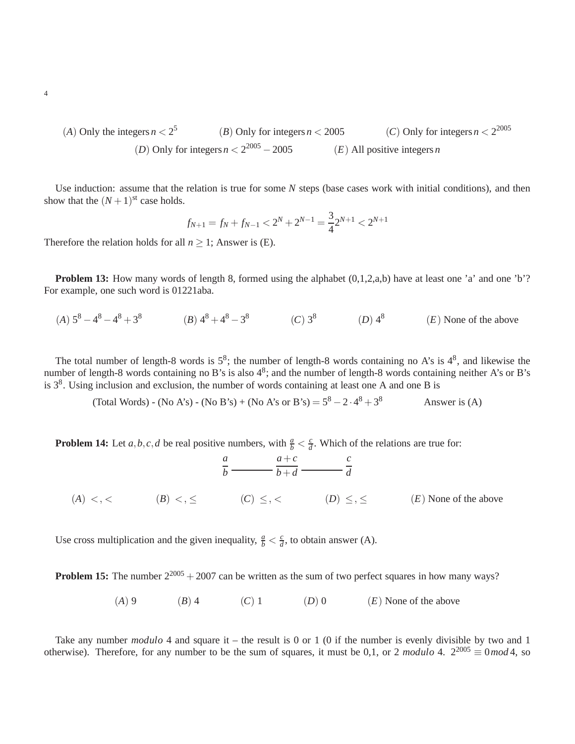(A) Only the integers 
$$
n < 2^5
$$
 (B) Only for integers  $n < 2005$  (C) Only for integers  $n < 2^{2005}$  (D) Only for integers  $n < 2^{2005} - 2005$  (E) All positive integers  $n$ 

Use induction: assume that the relation is true for some *N* steps (base cases work with initial conditions), and then show that the  $(N+1)$ <sup>st</sup> case holds.

$$
f_{N+1} = f_N + f_{N-1} < 2^N + 2^{N-1} = \frac{3}{4} 2^{N+1} < 2^{N+1}
$$

Therefore the relation holds for all  $n \geq 1$ ; Answer is (E).

**Problem 13:** How many words of length 8, formed using the alphabet  $(0,1,2,a,b)$  have at least one 'a' and one 'b'? For example, one such word is 01221aba.

(*A*)  $5^8 - 4^8 - 4^8 + 3^8$  (*B*)  $4^8 + 4^8 - 3^8$  (*C*)  $3^8$  (*D*)  $4^8$ (*E*) None of the above

The total number of length-8 words is  $5^8$ ; the number of length-8 words containing no A's is  $4^8$ , and likewise the number of length-8 words containing no B's is also  $4^8$ ; and the number of length-8 words containing neither A's or B's is  $3<sup>8</sup>$ . Using inclusion and exclusion, the number of words containing at least one A and one B is

> (Total Words) - (No A's) - (No B's) + (No A's or B's) =  $5^8 - 2 \cdot 4^8 + 3$ Answer is  $(A)$

**Problem 14:** Let *a*,*b*,*c*,*d* be real positive numbers, with  $\frac{a}{b} < \frac{c}{d}$  $\frac{c}{d}$ . Which of the relations are true for:

|                       |              | $a+c$<br>$b \longrightarrow b + d \longrightarrow d$ |                  |                         |
|-----------------------|--------------|------------------------------------------------------|------------------|-------------------------|
| $(A)$ < $\lt$ , $\lt$ | $(B) < \leq$ | $(C) \leq,$                                          | $(D) \leq, \leq$ | $(E)$ None of the above |

Use cross multiplication and the given inequality,  $\frac{a}{b} < \frac{c}{d}$  $\frac{c}{d}$ , to obtain answer (A).

**Problem 15:** The number  $2^{2005} + 2007$  can be written as the sum of two perfect squares in how many ways?

(*A*) 9 (*B*) 4 (*C*) 1 (*D*) 0 (*E*) None of the above

Take any number *modulo* 4 and square it – the result is 0 or 1 (0 if the number is evenly divisible by two and 1 otherwise). Therefore, for any number to be the sum of squares, it must be 0,1, or 2 *modulo* 4.  $2^{2005} \equiv 0$  *mod* 4, so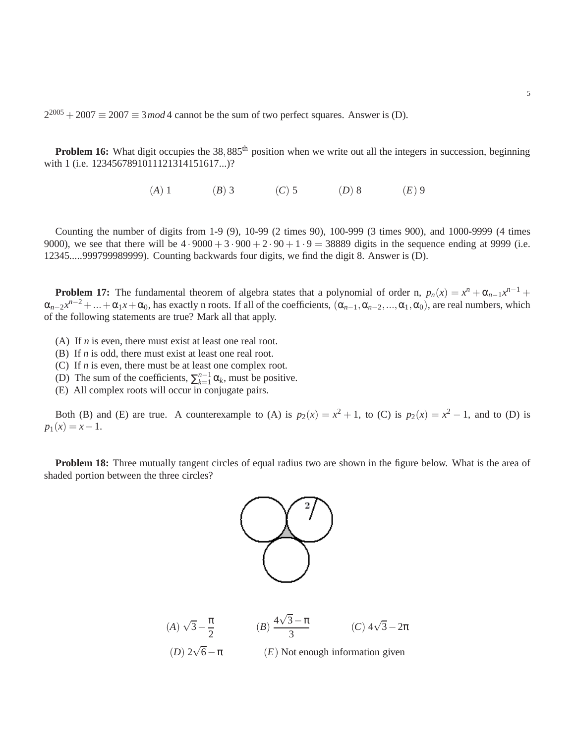$2^{2005} + 2007 \equiv 2007 \equiv 3 \mod 4$  cannot be the sum of two perfect squares. Answer is (D).

**Problem 16:** What digit occupies the 38,885<sup>th</sup> position when we write out all the integers in succession, beginning with 1 (i.e. 1234567891011121314151617...)?

(*A*) 1 (*B*) 3 (*C*) 5 (*D*) 8 (*E*) 9

Counting the number of digits from 1-9 (9), 10-99 (2 times 90), 100-999 (3 times 900), and 1000-9999 (4 times 9000), we see that there will be  $4 \cdot 9000 + 3 \cdot 900 + 2 \cdot 90 + 1 \cdot 9 = 38889$  digits in the sequence ending at 9999 (i.e. 12345.....999799989999). Counting backwards four digits, we find the digit 8. Answer is (D).

**Problem 17:** The fundamental theorem of algebra states that a polynomial of order n,  $p_n(x) = x^n + \alpha_{n-1}x^{n-1} +$  $\alpha_{n-2}x^{n-2} + ... + \alpha_1x + \alpha_0$ , has exactly n roots. If all of the coefficients,  $(\alpha_{n-1}, \alpha_{n-2}, ..., \alpha_1, \alpha_0)$ , are real numbers, which of the following statements are true? Mark all that apply.

- (A) If *n* is even, there must exist at least one real root.
- (B) If *n* is odd, there must exist at least one real root.
- (C) If *n* is even, there must be at least one complex root.
- (D) The sum of the coefficients,  $\sum_{k=1}^{n-1} \alpha_k$ , must be positive.
- (E) All complex roots will occur in conjugate pairs.

Both (B) and (E) are true. A counterexample to (A) is  $p_2(x) = x^2 + 1$ , to (C) is  $p_2(x) = x^2 - 1$ , and to (D) is  $p_1(x) = x - 1.$ 

**Problem 18:** Three mutually tangent circles of equal radius two are shown in the figure below. What is the area of shaded portion between the three circles?